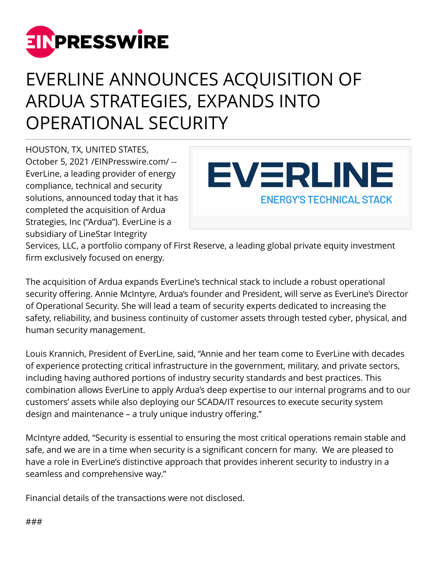

## EVERLINE ANNOUNCES ACQUISITION OF ARDUA STRATEGIES, EXPANDS INTO OPERATIONAL SECURITY

HOUSTON, TX, UNITED STATES, October 5, 2021 [/EINPresswire.com/](http://www.einpresswire.com) -- EverLine, a leading provider of energy compliance, technical and security solutions, announced today that it has completed the acquisition of Ardua Strategies, Inc ("Ardua"). EverLine is a subsidiary of LineStar Integrity



Services, LLC, a portfolio company of First Reserve, a leading global private equity investment firm exclusively focused on energy.

The acquisition of Ardua expands EverLine's technical stack to include a robust operational security offering. Annie McIntyre, Ardua's founder and President, will serve as EverLine's Director of Operational Security. She will lead a team of security experts dedicated to increasing the safety, reliability, and business continuity of customer assets through tested cyber, physical, and human security management.

Louis Krannich, President of EverLine, said, "Annie and her team come to EverLine with decades of experience protecting critical infrastructure in the government, military, and private sectors, including having authored portions of industry security standards and best practices. This combination allows EverLine to apply Ardua's deep expertise to our internal programs and to our customers' assets while also deploying our SCADA/IT resources to execute security system design and maintenance – a truly unique industry offering."

McIntyre added, "Security is essential to ensuring the most critical operations remain stable and safe, and we are in a time when security is a significant concern for many. We are pleased to have a role in EverLine's distinctive approach that provides inherent security to industry in a seamless and comprehensive way."

Financial details of the transactions were not disclosed.